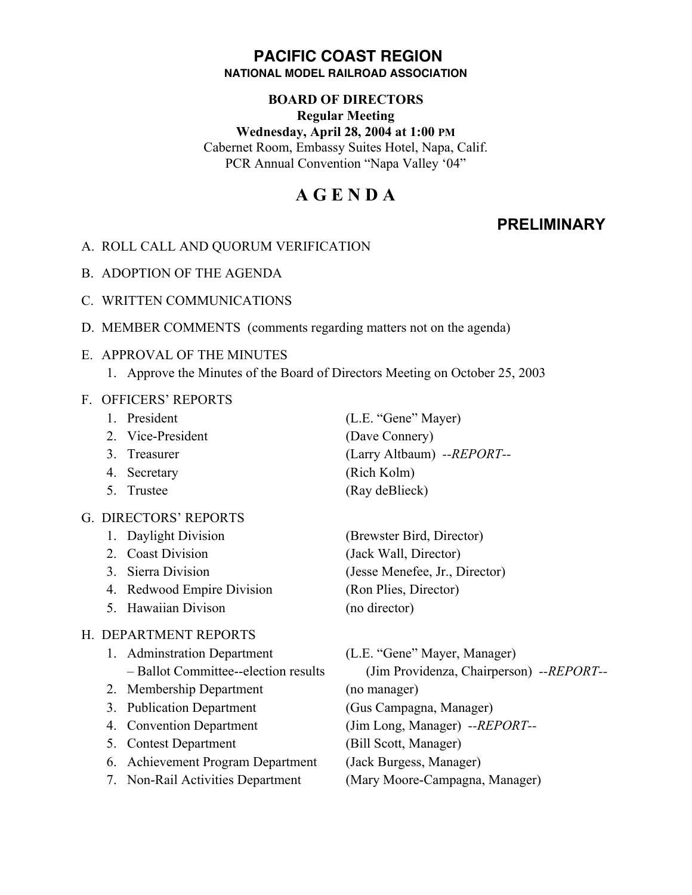## **PACIFIC COAST REGION NATIONAL MODEL RAILROAD ASSOCIATION**

#### **BOARD OF DIRECTORS**

**Regular Meeting**

**Wednesday, April 28, 2004 at 1:00 PM** Cabernet Room, Embassy Suites Hotel, Napa, Calif. PCR Annual Convention "Napa Valley '04"

# **A G E N D A**

# **PRELIMINARY**

- A. ROLL CALL AND QUORUM VERIFICATION
- B. ADOPTION OF THE AGENDA
- C. WRITTEN COMMUNICATIONS
- D. MEMBER COMMENTS (comments regarding matters not on the agenda)

# E. APPROVAL OF THE MINUTES

1. Approve the Minutes of the Board of Directors Meeting on October 25, 2003

# F. OFFICERS' REPORTS

- 
- 2. Vice-President (Dave Connery)
- 
- 4. Secretary (Rich Kolm)
- 

# G. DIRECTORS' REPORTS

- 
- 
- 
- 4. Redwood Empire Division (Ron Plies, Director)
- 5. Hawaiian Divison (no director)

### H. DEPARTMENT REPORTS

- 1. Adminstration Department (L.E. "Gene" Mayer, Manager)
- 2. Membership Department (no manager)
- 
- 
- 5. Contest Department (Bill Scott, Manager)
- 6. Achievement Program Department (Jack Burgess, Manager)
- 

1. President (L.E. "Gene" Mayer) 3. Treasurer (Larry Altbaum) *--REPORT--* 5. Trustee (Ray deBlieck)

1. Daylight Division (Brewster Bird, Director) 2. Coast Division (Jack Wall, Director) 3. Sierra Division (Jesse Menefee, Jr., Director)

– Ballot Committee--election results (Jim Providenza, Chairperson) *--REPORT--* 3. Publication Department (Gus Campagna, Manager) 4. Convention Department (Jim Long, Manager) *--REPORT--* 7. Non-Rail Activities Department (Mary Moore-Campagna, Manager)